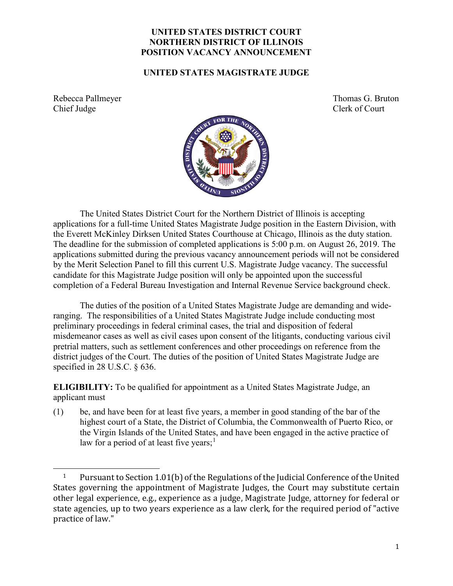## **UNITED STATES DISTRICT COURT NORTHERN DISTRICT OF ILLINOIS POSITION VACANCY ANNOUNCEMENT**

## **UNITED STATES MAGISTRATE JUDGE**

Rebecca Pallmeyer Thomas G. Bruton Chief Judge Clerk of Court



The United States District Court for the Northern District of Illinois is accepting applications for a full-time United States Magistrate Judge position in the Eastern Division, with the Everett McKinley Dirksen United States Courthouse at Chicago, Illinois as the duty station. The deadline for the submission of completed applications is 5:00 p.m. on August 26, 2019. The applications submitted during the previous vacancy announcement periods will not be considered by the Merit Selection Panel to fill this current U.S. Magistrate Judge vacancy. The successful candidate for this Magistrate Judge position will only be appointed upon the successful completion of a Federal Bureau Investigation and Internal Revenue Service background check.

The duties of the position of a United States Magistrate Judge are demanding and wideranging. The responsibilities of a United States Magistrate Judge include conducting most preliminary proceedings in federal criminal cases, the trial and disposition of federal misdemeanor cases as well as civil cases upon consent of the litigants, conducting various civil pretrial matters, such as settlement conferences and other proceedings on reference from the district judges of the Court. The duties of the position of United States Magistrate Judge are specified in 28 U.S.C. § 636.

**ELIGIBILITY:** To be qualified for appointment as a United States Magistrate Judge, an applicant must

(1) be, and have been for at least five years, a member in good standing of the bar of the highest court of a State, the District of Columbia, the Commonwealth of Puerto Rico, or the Virgin Islands of the United States, and have been engaged in the active practice of law for a period of at least five years;<sup>[1](#page-0-0)</sup>

<span id="page-0-0"></span>j <sup>1</sup> Pursuant to Section 1.01(b) of the Regulations of the Judicial Conference of the United States governing the appointment of Magistrate Judges, the Court may substitute certain other legal experience, e.g., experience as a judge, Magistrate Judge, attorney for federal or state agencies, up to two years experience as a law clerk, for the required period of "active practice of law."